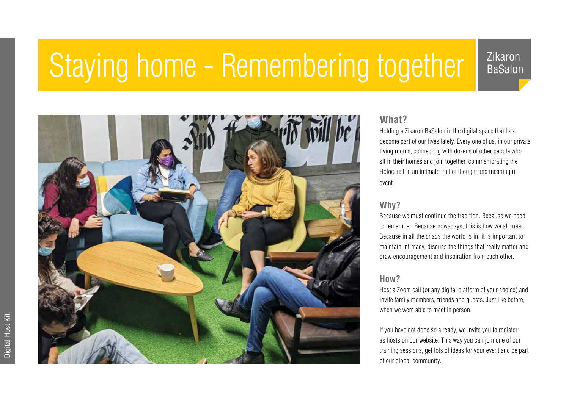## Staying home - Remembering together | Zikaron

BaSalon



### **What?**

Holding a Zikaron BaSalon in the digital space that has become part of our lives lately. Every one of us, in our private living rooms, connecting with dozens of other people who sit in their homes and join together, commemorating the Holocaust in an intimate, full of thought and meaningful event.

#### **Why?**

Because we must continue the tradition. Because we need to remember. Because nowadays, this is how we all meet. Because in all the chaos the world is in, it is important to maintain intimacy, discuss the things that really matter and draw encouragement and inspiration from each other.

#### **How?**

Host a Zoom call (or any digital platform of your choice) and invite family members, friends and guests. Just like before, when we were able to meet in person.

If you have not done so already, we invite you to register as hosts on our website. This way you can join one of our training sessions, get lots of ideas for your event and be part of our global community.